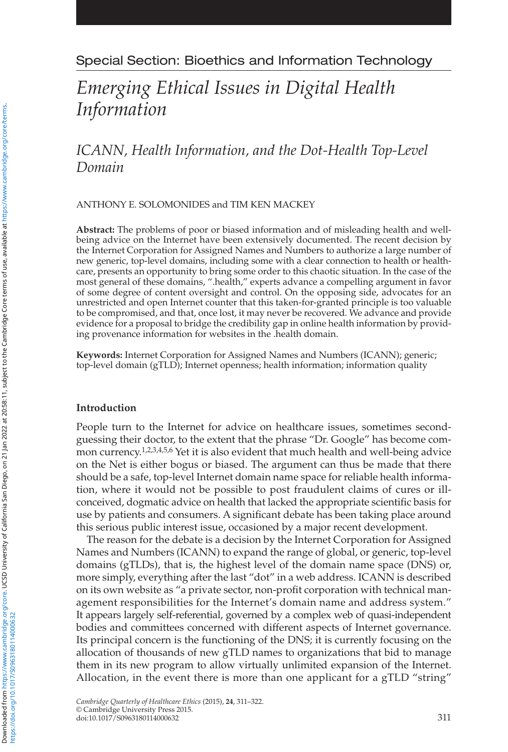## Special Section: Bioethics and Information Technology

# *Emerging Ethical Issues in Digital Health Information*

 *ICANN, Health Information, and the Dot-Health Top-Level Domain* 

ANTHONY E. SOLOMONIDES and TIM KEN MACKEY

**Abstract:** The problems of poor or biased information and of misleading health and wellbeing advice on the Internet have been extensively documented. The recent decision by the Internet Corporation for Assigned Names and Numbers to authorize a large number of new generic, top-level domains, including some with a clear connection to health or healthcare, presents an opportunity to bring some order to this chaotic situation. In the case of the most general of these domains, ".health," experts advance a compelling argument in favor of some degree of content oversight and control. On the opposing side, advocates for an unrestricted and open Internet counter that this taken-for-granted principle is too valuable to be compromised, and that, once lost, it may never be recovered. We advance and provide evidence for a proposal to bridge the credibility gap in online health information by providing provenance information for websites in the .health domain.

Keywords: Internet Corporation for Assigned Names and Numbers (ICANN); generic; top-level domain (gTLD); Internet openness; health information; information quality

#### **Introduction**

 People turn to the Internet for advice on healthcare issues, sometimes secondguessing their doctor, to the extent that the phrase "Dr. Google" has become common currency.  $1, 2, 3, 4, 5, 6$  Yet it is also evident that much health and well-being advice on the Net is either bogus or biased. The argument can thus be made that there should be a safe, top-level Internet domain name space for reliable health information, where it would not be possible to post fraudulent claims of cures or illconceived, dogmatic advice on health that lacked the appropriate scientific basis for use by patients and consumers. A significant debate has been taking place around this serious public interest issue, occasioned by a major recent development.

 The reason for the debate is a decision by the Internet Corporation for Assigned Names and Numbers (ICANN) to expand the range of global, or generic, top-level domains (gTLDs), that is, the highest level of the domain name space (DNS) or, more simply, everything after the last "dot" in a web address. ICANN is described on its own website as "a private sector, non-profit corporation with technical management responsibilities for the Internet's domain name and address system." It appears largely self-referential, governed by a complex web of quasi-independent bodies and committees concerned with different aspects of Internet governance. Its principal concern is the functioning of the DNS; it is currently focusing on the allocation of thousands of new gTLD names to organizations that bid to manage them in its new program to allow virtually unlimited expansion of the Internet. Allocation, in the event there is more than one applicant for a gTLD "string"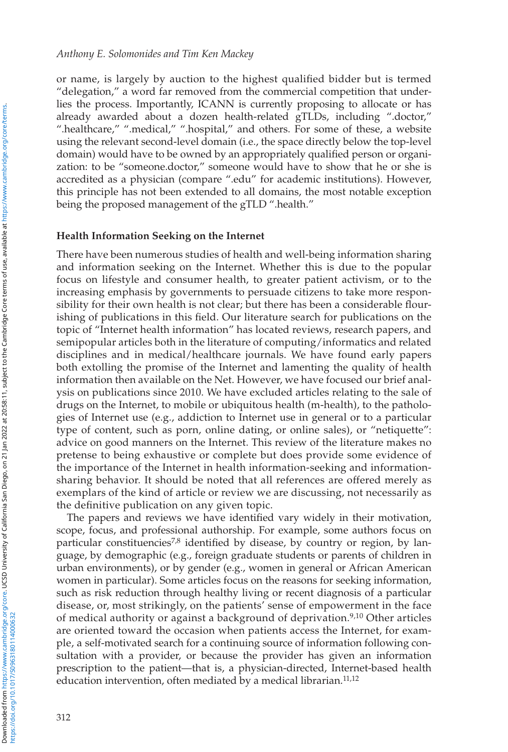or name, is largely by auction to the highest qualified bidder but is termed "delegation," a word far removed from the commercial competition that underlies the process. Importantly, ICANN is currently proposing to allocate or has already awarded about a dozen health-related gTLDs, including ".doctor," ".healthcare," ".medical," ".hospital," and others. For some of these, a website using the relevant second-level domain (i.e., the space directly below the top-level domain) would have to be owned by an appropriately qualified person or organization: to be "someone.doctor," someone would have to show that he or she is accredited as a physician (compare ".edu" for academic institutions). However, this principle has not been extended to all domains, the most notable exception being the proposed management of the gTLD ".health."

#### **Health Information Seeking on the Internet**

 There have been numerous studies of health and well-being information sharing and information seeking on the Internet. Whether this is due to the popular focus on lifestyle and consumer health, to greater patient activism, or to the increasing emphasis by governments to persuade citizens to take more responsibility for their own health is not clear; but there has been a considerable flourishing of publications in this field. Our literature search for publications on the topic of "Internet health information" has located reviews, research papers, and semipopular articles both in the literature of computing/informatics and related disciplines and in medical/healthcare journals. We have found early papers both extolling the promise of the Internet and lamenting the quality of health information then available on the Net. However, we have focused our brief analysis on publications since 2010. We have excluded articles relating to the sale of drugs on the Internet, to mobile or ubiquitous health (m-health), to the pathologies of Internet use (e.g., addiction to Internet use in general or to a particular type of content, such as porn, online dating, or online sales), or "netiquette": advice on good manners on the Internet. This review of the literature makes no pretense to being exhaustive or complete but does provide some evidence of the importance of the Internet in health information-seeking and informationsharing behavior. It should be noted that all references are offered merely as exemplars of the kind of article or review we are discussing, not necessarily as the definitive publication on any given topic.

The papers and reviews we have identified vary widely in their motivation, scope, focus, and professional authorship. For example, some authors focus on particular constituencies<sup>7,8</sup> identified by disease, by country or region, by language, by demographic (e.g., foreign graduate students or parents of children in urban environments), or by gender (e.g., women in general or African American women in particular). Some articles focus on the reasons for seeking information, such as risk reduction through healthy living or recent diagnosis of a particular disease, or, most strikingly, on the patients' sense of empowerment in the face of medical authority or against a background of deprivation.<sup>9,10</sup> Other articles are oriented toward the occasion when patients access the Internet, for example, a self-motivated search for a continuing source of information following consultation with a provider, or because the provider has given an information prescription to the patient—that is, a physician-directed, Internet-based health education intervention, often mediated by a medical librarian.<sup>11,12</sup>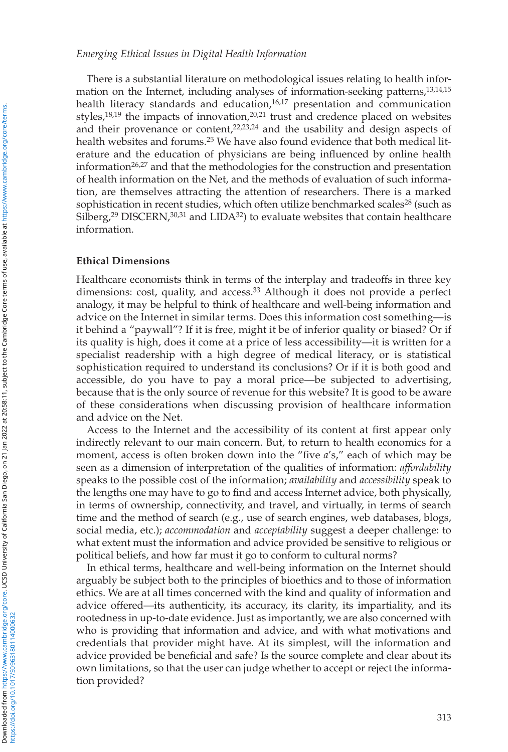#### *Emerging Ethical Issues in Digital Health Information*

 There is a substantial literature on methodological issues relating to health information on the Internet, including analyses of information-seeking patterns,<sup>13,14,15</sup> health literacy standards and education,  $16,17$  presentation and communication styles,  $18,19$  the impacts of innovation,  $20,21$  trust and credence placed on websites and their provenance or content, $22,23,24$  and the usability and design aspects of health websites and forums.<sup>25</sup> We have also found evidence that both medical literature and the education of physicians are being influenced by online health information<sup>26,27</sup> and that the methodologies for the construction and presentation of health information on the Net, and the methods of evaluation of such information, are themselves attracting the attention of researchers. There is a marked sophistication in recent studies, which often utilize benchmarked scales<sup>28</sup> (such as Silberg,<sup>29</sup> DISCERN,<sup>30,31</sup> and LIDA<sup>32</sup>) to evaluate websites that contain healthcare information.

#### **Ethical Dimensions**

 Healthcare economists think in terms of the interplay and tradeoffs in three key dimensions: cost, quality, and access.<sup>33</sup> Although it does not provide a perfect analogy, it may be helpful to think of healthcare and well-being information and advice on the Internet in similar terms. Does this information cost something—is it behind a "paywall"? If it is free, might it be of inferior quality or biased? Or if its quality is high, does it come at a price of less accessibility—it is written for a specialist readership with a high degree of medical literacy, or is statistical sophistication required to understand its conclusions? Or if it is both good and accessible, do you have to pay a moral price—be subjected to advertising, because that is the only source of revenue for this website? It is good to be aware of these considerations when discussing provision of healthcare information and advice on the Net.

Access to the Internet and the accessibility of its content at first appear only indirectly relevant to our main concern. But, to return to health economics for a moment, access is often broken down into the "five a's," each of which may be seen as a dimension of interpretation of the qualities of information: *affordability* speaks to the possible cost of the information; *availability* and *accessibility* speak to the lengths one may have to go to find and access Internet advice, both physically, in terms of ownership, connectivity, and travel, and virtually, in terms of search time and the method of search (e.g., use of search engines, web databases, blogs, social media, etc.); *accommodation* and *acceptability* suggest a deeper challenge: to what extent must the information and advice provided be sensitive to religious or political beliefs, and how far must it go to conform to cultural norms?

 In ethical terms, healthcare and well-being information on the Internet should arguably be subject both to the principles of bioethics and to those of information ethics. We are at all times concerned with the kind and quality of information and advice offered—its authenticity, its accuracy, its clarity, its impartiality, and its rootedness in up-to-date evidence. Just as importantly, we are also concerned with who is providing that information and advice, and with what motivations and credentials that provider might have. At its simplest, will the information and advice provided be beneficial and safe? Is the source complete and clear about its own limitations, so that the user can judge whether to accept or reject the information provided?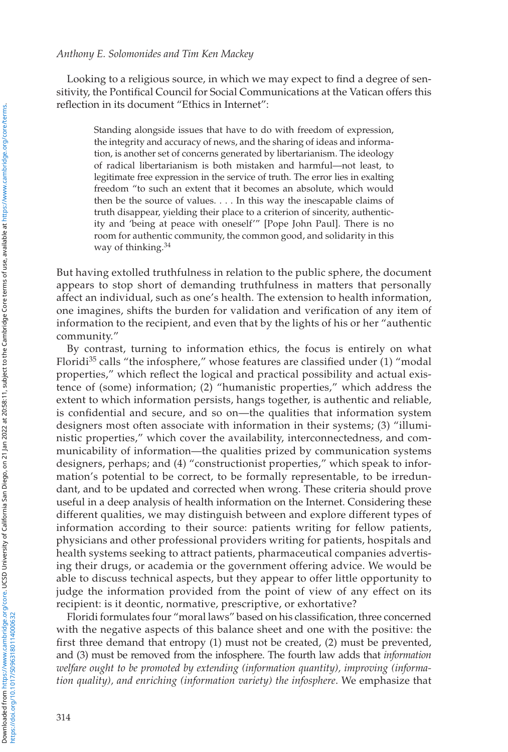#### *Anthony E. Solomonides and Tim Ken Mackey*

Looking to a religious source, in which we may expect to find a degree of sensitivity, the Pontifical Council for Social Communications at the Vatican offers this reflection in its document "Ethics in Internet":

 Standing alongside issues that have to do with freedom of expression, the integrity and accuracy of news, and the sharing of ideas and information, is another set of concerns generated by libertarianism. The ideology of radical libertarianism is both mistaken and harmful—not least, to legitimate free expression in the service of truth. The error lies in exalting freedom "to such an extent that it becomes an absolute, which would then be the source of values. . . . In this way the inescapable claims of truth disappear, yielding their place to a criterion of sincerity, authenticity and 'being at peace with oneself'" [Pope John Paul]. There is no room for authentic community, the common good, and solidarity in this way of thinking. 34

 But having extolled truthfulness in relation to the public sphere, the document appears to stop short of demanding truthfulness in matters that personally affect an individual, such as one's health. The extension to health information, one imagines, shifts the burden for validation and verification of any item of information to the recipient, and even that by the lights of his or her "authentic community."

 By contrast, turning to information ethics, the focus is entirely on what Floridi<sup>35</sup> calls "the infosphere," whose features are classified under  $(1)$  "modal properties," which reflect the logical and practical possibility and actual existence of (some) information; (2) "humanistic properties," which address the extent to which information persists, hangs together, is authentic and reliable, is confidential and secure, and so on—the qualities that information system designers most often associate with information in their systems; (3) "illuministic properties," which cover the availability, interconnectedness, and communicability of information—the qualities prized by communication systems designers, perhaps; and (4) "constructionist properties," which speak to information's potential to be correct, to be formally representable, to be irredundant, and to be updated and corrected when wrong. These criteria should prove useful in a deep analysis of health information on the Internet. Considering these different qualities, we may distinguish between and explore different types of information according to their source: patients writing for fellow patients, physicians and other professional providers writing for patients, hospitals and health systems seeking to attract patients, pharmaceutical companies advertising their drugs, or academia or the government offering advice. We would be able to discuss technical aspects, but they appear to offer little opportunity to judge the information provided from the point of view of any effect on its recipient: is it deontic, normative, prescriptive, or exhortative?

Floridi formulates four "moral laws" based on his classification, three concerned with the negative aspects of this balance sheet and one with the positive: the first three demand that entropy  $(1)$  must not be created,  $(2)$  must be prevented, and (3) must be removed from the infosphere. The fourth law adds that *information welfare ought to be promoted by extending (information quantity), improving (information quality), and enriching (information variety) the infosphere.* We emphasize that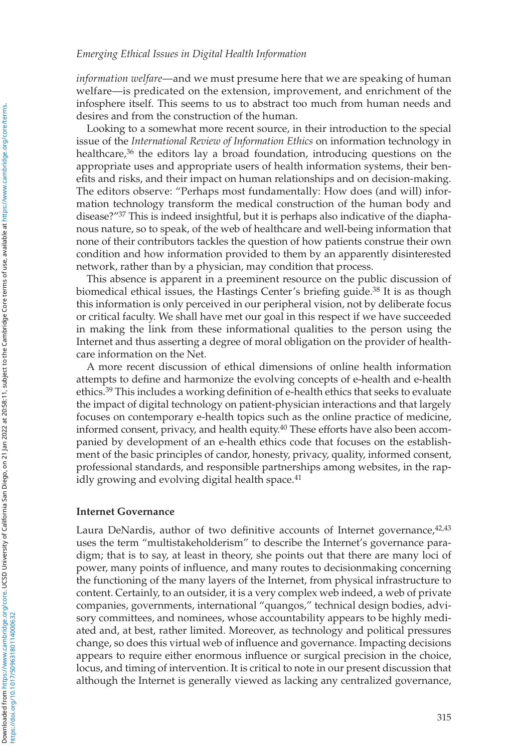*information welfare* —and we must presume here that we are speaking of human welfare—is predicated on the extension, improvement, and enrichment of the infosphere itself. This seems to us to abstract too much from human needs and desires and from the construction of the human.

 Looking to a somewhat more recent source, in their introduction to the special issue of the *International Review of Information Ethics* on information technology in healthcare,  $36$  the editors lay a broad foundation, introducing questions on the appropriate uses and appropriate users of health information systems, their benefits and risks, and their impact on human relationships and on decision-making. The editors observe: "Perhaps most fundamentally: How does (and will) information technology transform the medical construction of the human body and disease?"<sup>37</sup> This is indeed insightful, but it is perhaps also indicative of the diaphanous nature, so to speak, of the web of healthcare and well-being information that none of their contributors tackles the question of how patients construe their own condition and how information provided to them by an apparently disinterested network, rather than by a physician, may condition that process.

 This absence is apparent in a preeminent resource on the public discussion of biomedical ethical issues, the Hastings Center's briefing guide.<sup>38</sup> It is as though this information is only perceived in our peripheral vision, not by deliberate focus or critical faculty. We shall have met our goal in this respect if we have succeeded in making the link from these informational qualities to the person using the Internet and thus asserting a degree of moral obligation on the provider of healthcare information on the Net.

 A more recent discussion of ethical dimensions of online health information attempts to define and harmonize the evolving concepts of e-health and e-health ethics.<sup>39</sup> This includes a working definition of e-health ethics that seeks to evaluate the impact of digital technology on patient-physician interactions and that largely focuses on contemporary e-health topics such as the online practice of medicine, informed consent, privacy, and health equity.<sup>40</sup> These efforts have also been accompanied by development of an e-health ethics code that focuses on the establishment of the basic principles of candor, honesty, privacy, quality, informed consent, professional standards, and responsible partnerships among websites, in the rapidly growing and evolving digital health space.<sup>41</sup>

## **Internet Governance**

Laura DeNardis, author of two definitive accounts of Internet governance,  $42.43$ uses the term "multistakeholderism" to describe the Internet's governance paradigm; that is to say, at least in theory, she points out that there are many loci of power, many points of influence, and many routes to decision making concerning the functioning of the many layers of the Internet, from physical infrastructure to content. Certainly, to an outsider, it is a very complex web indeed, a web of private companies, governments, international "quangos," technical design bodies, advisory committees, and nominees, whose accountability appears to be highly mediated and, at best, rather limited. Moreover, as technology and political pressures change, so does this virtual web of influence and governance. Impacting decisions appears to require either enormous influence or surgical precision in the choice, locus, and timing of intervention. It is critical to note in our present discussion that although the Internet is generally viewed as lacking any centralized governance,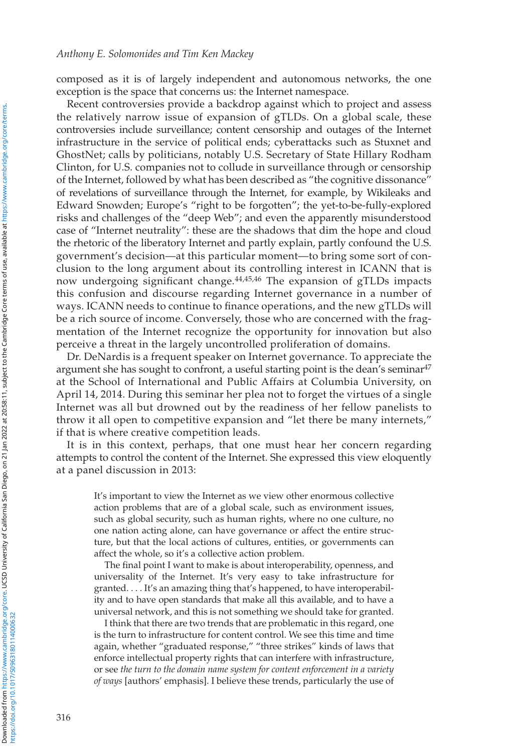composed as it is of largely independent and autonomous networks, the one exception is the space that concerns us: the Internet namespace.

 Recent controversies provide a backdrop against which to project and assess the relatively narrow issue of expansion of gTLDs. On a global scale, these controversies include surveillance; content censorship and outages of the Internet infrastructure in the service of political ends; cyberattacks such as Stuxnet and GhostNet; calls by politicians, notably U.S. Secretary of State Hillary Rodham Clinton, for U.S. companies not to collude in surveillance through or censorship of the Internet, followed by what has been described as "the cognitive dissonance" of revelations of surveillance through the Internet, for example, by Wikileaks and Edward Snowden; Europe's "right to be forgotten"; the yet-to-be-fully-explored risks and challenges of the "deep Web"; and even the apparently misunderstood case of "Internet neutrality": these are the shadows that dim the hope and cloud the rhetoric of the liberatory Internet and partly explain, partly confound the U.S. government's decision—at this particular moment—to bring some sort of conclusion to the long argument about its controlling interest in ICANN that is now undergoing significant change. $44,45,46$  The expansion of gTLDs impacts this confusion and discourse regarding Internet governance in a number of ways. ICANN needs to continue to finance operations, and the new gTLDs will be a rich source of income. Conversely, those who are concerned with the fragmentation of the Internet recognize the opportunity for innovation but also perceive a threat in the largely uncontrolled proliferation of domains.

 Dr. DeNardis is a frequent speaker on Internet governance. To appreciate the argument she has sought to confront, a useful starting point is the dean's seminar  $47$ at the School of International and Public Affairs at Columbia University, on April 14, 2014. During this seminar her plea not to forget the virtues of a single Internet was all but drowned out by the readiness of her fellow panelists to throw it all open to competitive expansion and "let there be many internets," if that is where creative competition leads.

 It is in this context, perhaps, that one must hear her concern regarding attempts to control the content of the Internet. She expressed this view eloquently at a panel discussion in 2013:

 It's important to view the Internet as we view other enormous collective action problems that are of a global scale, such as environment issues, such as global security, such as human rights, where no one culture, no one nation acting alone, can have governance or affect the entire structure, but that the local actions of cultures, entities, or governments can affect the whole, so it's a collective action problem.

The final point I want to make is about interoperability, openness, and universality of the Internet. It's very easy to take infrastructure for granted. . . . It's an amazing thing that's happened, to have interoperability and to have open standards that make all this available, and to have a universal network, and this is not something we should take for granted.

 I think that there are two trends that are problematic in this regard, one is the turn to infrastructure for content control. We see this time and time again, whether "graduated response," "three strikes" kinds of laws that enforce intellectual property rights that can interfere with infrastructure, or see *the turn to the domain name system for content enforcement in a variety of ways* [authors' emphasis]. I believe these trends, particularly the use of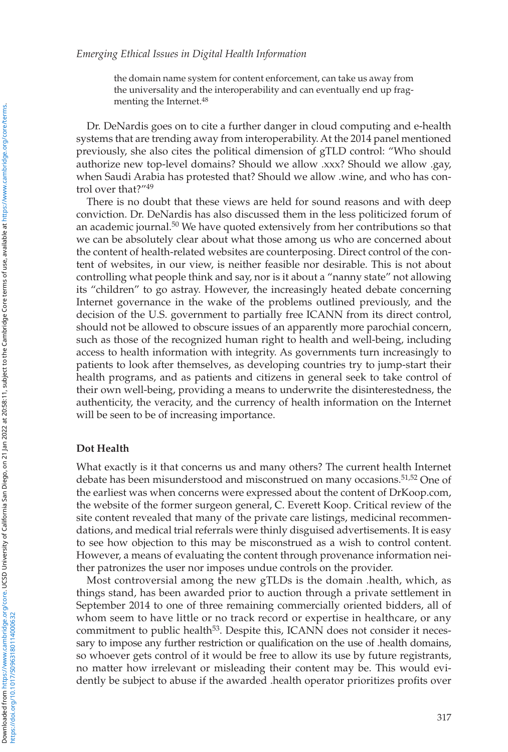the domain name system for content enforcement, can take us away from the universality and the interoperability and can eventually end up fragmenting the Internet. 48

 Dr. DeNardis goes on to cite a further danger in cloud computing and e-health systems that are trending away from interoperability. At the 2014 panel mentioned previously, she also cites the political dimension of gTLD control: "Who should authorize new top-level domains? Should we allow .xxx? Should we allow .gay, when Saudi Arabia has protested that? Should we allow .wine, and who has control over that?"<sup>49</sup>

 There is no doubt that these views are held for sound reasons and with deep conviction. Dr. DeNardis has also discussed them in the less politicized forum of an academic journal.<sup>50</sup> We have quoted extensively from her contributions so that we can be absolutely clear about what those among us who are concerned about the content of health-related websites are counterposing. Direct control of the content of websites, in our view, is neither feasible nor desirable. This is not about controlling what people think and say, nor is it about a "nanny state" not allowing its "children" to go astray. However, the increasingly heated debate concerning Internet governance in the wake of the problems outlined previously, and the decision of the U.S. government to partially free ICANN from its direct control, should not be allowed to obscure issues of an apparently more parochial concern, such as those of the recognized human right to health and well-being, including access to health information with integrity. As governments turn increasingly to patients to look after themselves, as developing countries try to jump-start their health programs, and as patients and citizens in general seek to take control of their own well-being, providing a means to underwrite the disinterestedness, the authenticity, the veracity, and the currency of health information on the Internet will be seen to be of increasing importance.

#### **Dot Health**

 What exactly is it that concerns us and many others? The current health Internet debate has been misunderstood and misconstrued on many occasions.<sup>51,52</sup> One of the earliest was when concerns were expressed about the content of DrKoop.com, the website of the former surgeon general, C. Everett Koop. Critical review of the site content revealed that many of the private care listings, medicinal recommendations, and medical trial referrals were thinly disguised advertisements. It is easy to see how objection to this may be misconstrued as a wish to control content. However, a means of evaluating the content through provenance information neither patronizes the user nor imposes undue controls on the provider.

 Most controversial among the new gTLDs is the domain .health, which, as things stand, has been awarded prior to auction through a private settlement in September 2014 to one of three remaining commercially oriented bidders, all of whom seem to have little or no track record or expertise in healthcare, or any commitment to public health<sup>53</sup>. Despite this, ICANN does not consider it necessary to impose any further restriction or qualification on the use of .health domains, so whoever gets control of it would be free to allow its use by future registrants, no matter how irrelevant or misleading their content may be. This would evidently be subject to abuse if the awarded .health operator prioritizes profits over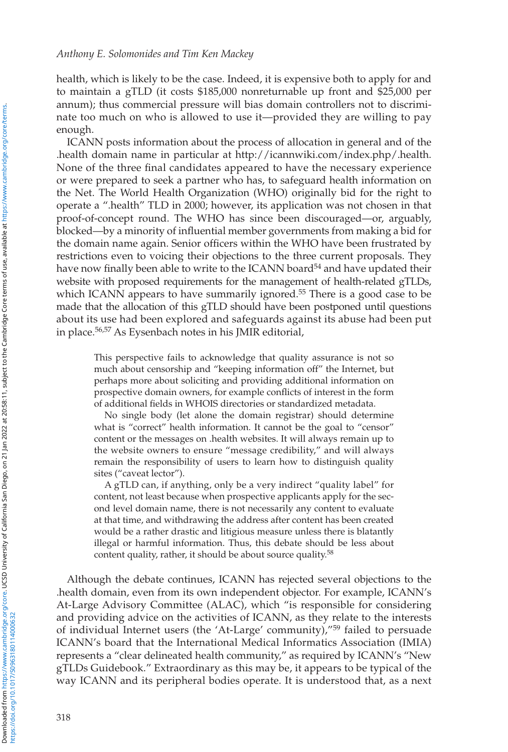health, which is likely to be the case. Indeed, it is expensive both to apply for and to maintain a gTLD (it costs \$185,000 nonreturnable up front and \$25,000 per annum); thus commercial pressure will bias domain controllers not to discriminate too much on who is allowed to use it—provided they are willing to pay enough.

 ICANN posts information about the process of allocation in general and of the .health domain name in particular at http://icannwiki.com/index.php/.health . None of the three final candidates appeared to have the necessary experience or were prepared to seek a partner who has, to safeguard health information on the Net. The World Health Organization (WHO) originally bid for the right to operate a ".health" TLD in 2000; however, its application was not chosen in that proof-of-concept round. The WHO has since been discouraged—or, arguably, blocked—by a minority of influential member governments from making a bid for the domain name again. Senior officers within the WHO have been frustrated by restrictions even to voicing their objections to the three current proposals. They have now finally been able to write to the ICANN board<sup>54</sup> and have updated their website with proposed requirements for the management of health-related gTLDs, which ICANN appears to have summarily ignored.<sup>55</sup> There is a good case to be made that the allocation of this gTLD should have been postponed until questions about its use had been explored and safeguards against its abuse had been put in place.<sup>56,57</sup> As Eysenbach notes in his JMIR editorial,

 This perspective fails to acknowledge that quality assurance is not so much about censorship and "keeping information off" the Internet, but perhaps more about soliciting and providing additional information on prospective domain owners, for example conflicts of interest in the form of additional fields in WHOIS directories or standardized metadata.

 No single body (let alone the domain registrar) should determine what is "correct" health information. It cannot be the goal to "censor" content or the messages on .health websites. It will always remain up to the website owners to ensure "message credibility," and will always remain the responsibility of users to learn how to distinguish quality sites ("caveat lector").

 A gTLD can, if anything, only be a very indirect "quality label" for content, not least because when prospective applicants apply for the second level domain name, there is not necessarily any content to evaluate at that time, and withdrawing the address after content has been created would be a rather drastic and litigious measure unless there is blatantly illegal or harmful information. Thus, this debate should be less about content quality, rather, it should be about source quality.<sup>58</sup>

 Although the debate continues, ICANN has rejected several objections to the .health domain, even from its own independent objector. For example, ICANN's At-Large Advisory Committee (ALAC), which "is responsible for considering and providing advice on the activities of ICANN, as they relate to the interests of individual Internet users (the 'At-Large' community),"<sup>59</sup> failed to persuade ICANN's board that the International Medical Informatics Association (IMIA) represents a "clear delineated health community," as required by ICANN's "New gTLDs Guidebook." Extraordinary as this may be, it appears to be typical of the way ICANN and its peripheral bodies operate. It is understood that, as a next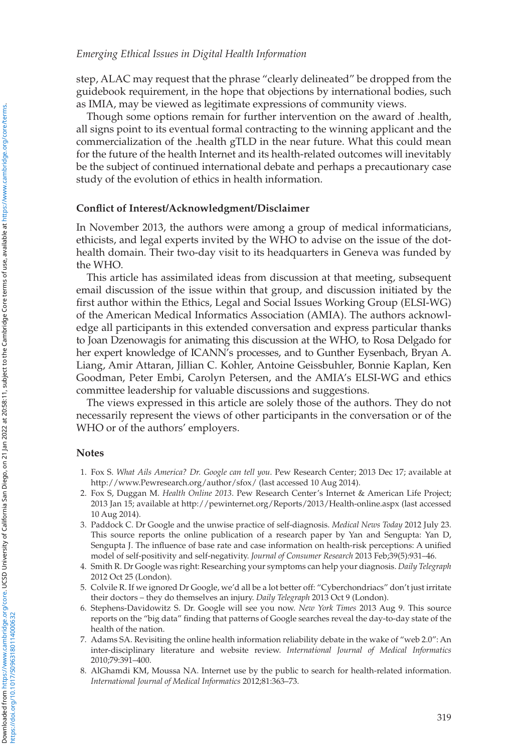step, ALAC may request that the phrase "clearly delineated" be dropped from the guidebook requirement, in the hope that objections by international bodies, such as IMIA, may be viewed as legitimate expressions of community views.

 Though some options remain for further intervention on the award of .health, all signs point to its eventual formal contracting to the winning applicant and the commercialization of the .health gTLD in the near future. What this could mean for the future of the health Internet and its health-related outcomes will inevitably be the subject of continued international debate and perhaps a precautionary case study of the evolution of ethics in health information.

### **Confl ict of Interest/Acknowledgment/Disclaimer**

 In November 2013, the authors were among a group of medical informaticians, ethicists, and legal experts invited by the WHO to advise on the issue of the dothealth domain. Their two-day visit to its headquarters in Geneva was funded by the WHO.

 This article has assimilated ideas from discussion at that meeting, subsequent email discussion of the issue within that group, and discussion initiated by the first author within the Ethics, Legal and Social Issues Working Group (ELSI-WG) of the American Medical Informatics Association (AMIA). The authors acknowledge all participants in this extended conversation and express particular thanks to Joan Dzenowagis for animating this discussion at the WHO, to Rosa Delgado for her expert knowledge of ICANN's processes, and to Gunther Eysenbach, Bryan A. Liang, Amir Attaran, Jillian C. Kohler, Antoine Geissbuhler, Bonnie Kaplan, Ken Goodman, Peter Embi, Carolyn Petersen, and the AMIA's ELSI-WG and ethics committee leadership for valuable discussions and suggestions.

 The views expressed in this article are solely those of the authors. They do not necessarily represent the views of other participants in the conversation or of the WHO or of the authors' employers.

#### **Notes**

- 1. Fox S. What Ails America? Dr. Google can tell you. Pew Research Center; 2013 Dec 17; available at http://www.Pewresearch.org/author/sfox/ (last accessed 10 Aug 2014).
- 2. Fox S, Duggan M. *Health Online 2013*. Pew Research Center's Internet & American Life Project; 2013 Jan 15; available at http://pewinternet.org/Reports/2013/Health-online.aspx (last accessed 10 Aug 2014).
- 3. Paddock C . Dr Google and the unwise practice of self-diagnosis . *Medical News Today* 2012 July 23. This source reports the online publication of a research paper by Yan and Sengupta: Yan D, Sengupta J. The influence of base rate and case information on health-risk perceptions: A unified model of self-positivity and self-negativity. *Journal of Consumer Research* 2013 Feb;39(5):931-46.
- 4. Smith R . Dr Google was right: Researching your symptoms can help your diagnosis . *Daily Telegraph* 2012 Oct 25 (London).
- 5. Colvile R . If we ignored Dr Google, we'd all be a lot better off: "Cyberchondriacs" don't just irritate their doctors – they do themselves an injury . *Daily Telegraph* 2013 Oct 9 (London) .
- 6. Stephens-Davidowitz S. Dr. Google will see you now. *New York Times* 2013 Aug 9. This source reports on the "big data" finding that patterns of Google searches reveal the day-to-day state of the health of the nation.
- 7. Adams SA . Revisiting the online health information reliability debate in the wake of "web 2.0": An inter-disciplinary literature and website review . *International Journal of Medical Informatics* 2010;79:391-400.
- 8. AlGhamdi KM, Moussa NA. Internet use by the public to search for health-related information. International Journal of Medical Informatics 2012;81:363-73.

https://doi.org/10.1017/S0963180114000632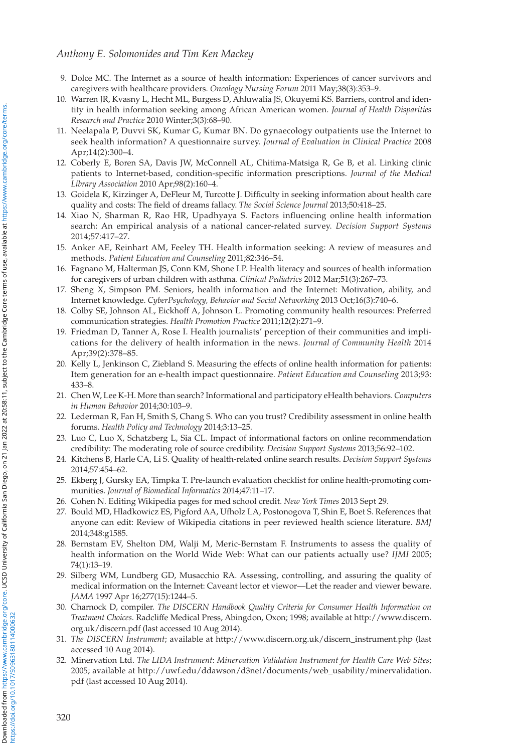- 9. Dolce MC . The Internet as a source of health information: Experiences of cancer survivors and caregivers with healthcare providers. *Oncology Nursing Forum* 2011 May;38(3):353-9.
- 10. Warren JR, Kvasny L, Hecht ML, Burgess D, Ahluwalia JS, Okuyemi KS. Barriers, control and identity in health information seeking among African American women . *Journal of Health Disparities*  Research and Practice 2010 Winter;3(3):68-90.
- 11. Neelapala P, Duvvi SK, Kumar G, Kumar BN. Do gynaecology outpatients use the Internet to seek health information? A questionnaire survey . *Journal of Evaluation in Clinical Practice* 2008 Apr; 14(2): 300-4.
- 12. Coberly E, Boren SA, Davis JW, McConnell AL, Chitima-Matsiga R, Ge B, et al. Linking clinic patients to Internet-based, condition-specific information prescriptions. *Journal of the Medical* Library Association 2010 Apr; 98(2): 160-4.
- 13. Goidela K, Kirzinger A, DeFleur M, Turcotte J. Difficulty in seeking information about health care quality and costs: The field of dreams fallacy. *The Social Science Journal* 2013;50:418-25.
- 14. Xiao N, Sharman R, Rao HR, Upadhyaya S. Factors influencing online health information search: An empirical analysis of a national cancer-related survey . *Decision Support Systems* 2014 ; 57 : 417 –27.
- 15. Anker AE, Reinhart AM, Feeley TH. Health information seeking: A review of measures and methods. Patient Education and Counseling 2011;82:346-54.
- 16. Fagnano M, Halterman JS, Conn KM, Shone LP. Health literacy and sources of health information for caregivers of urban children with asthma. *Clinical Pediatrics* 2012 Mar;51(3):267-73.
- 17. Sheng X, Simpson PM. Seniors, health information and the Internet: Motivation, ability, and Internet knowledge. *CyberPsychology, Behavior and Social Networking* 2013 Oct;16(3):740-6.
- 18. Colby SE , Johnson AL , Eickhoff A , Johnson L . Promoting community health resources: Preferred communication strategies. Health Promotion Practice 2011;12(2):271-9.
- 19. Friedman D, Tanner A, Rose I. Health journalists' perception of their communities and implications for the delivery of health information in the news . *Journal of Community Health* 2014 Apr; 39(2): 378-85.
- 20. Kelly L, Jenkinson C, Ziebland S. Measuring the effects of online health information for patients: Item generation for an e-health impact questionnaire . *Patient Education and Counseling* 2013 ; 93 : 433 –8.
- 21. Chen W , Lee K-H . More than search? Informational and participatory eHealth behaviors . *Computers in Human Behavior* 2014 ; 30 : 103 –9.
- 22. Lederman R, Fan H, Smith S, Chang S. Who can you trust? Credibility assessment in online health forums. Health Policy and Technology 2014;3:13-25.
- 23. Luo C, Luo X, Schatzberg L, Sia CL. Impact of informational factors on online recommendation credibility: The moderating role of source credibility. *Decision Support Systems* 2013;56:92-102.
- 24. Kitchens B , Harle CA , Li S . Quality of health-related online search results . *Decision Support Systems* 2014;57:454-62.
- 25. Ekberg J, Gursky EA, Timpka T. Pre-launch evaluation checklist for online health-promoting communities. Journal of Biomedical Informatics 2014;47:11-17.
- 26. Cohen N. Editing Wikipedia pages for med school credit. *New York Times* 2013 Sept 29.
- 27. Bould MD, Hladkowicz ES, Pigford AA, Ufholz LA, Postonogova T, Shin E, Boet S. References that anyone can edit: Review of Wikipedia citations in peer reviewed health science literature . *BMJ* 2014;348:g1585.
- 28. Bernstam EV, Shelton DM, Walji M, Meric-Bernstam F. Instruments to assess the quality of health information on the World Wide Web: What can our patients actually use? *IJMI* 2005; 74(1):13-19
- 29. Silberg WM, Lundberg GD, Musacchio RA. Assessing, controlling, and assuring the quality of medical information on the Internet: Caveant lector et viewor—Let the reader and viewer beware . JAMA 1997 Apr 16;277(15):1244-5.
- 30. Charnock D, compiler. *The DISCERN Handbook Quality Criteria for Consumer Health Information on Treatment Choices* . Radcliffe Medical Press , Abingdon, Oxon ; 1998 ; available at http://www.discern. org.uk/discern.pdf (last accessed 10 Aug 2014).
- 31. *The DISCERN Instrument* ; available at http://www.discern.org.uk/discern\_instrument.php (last accessed 10 Aug 2014).
- 32. Minervation Ltd. *The LIDA Instrument* : *Minervation Validation Instrument for Health Care Web Sites* ; 2005; available at http://uwf.edu/ddawson/d3net/documents/web\_usability/minervalidation. pdf (last accessed 10 Aug 2014).

Downloaded from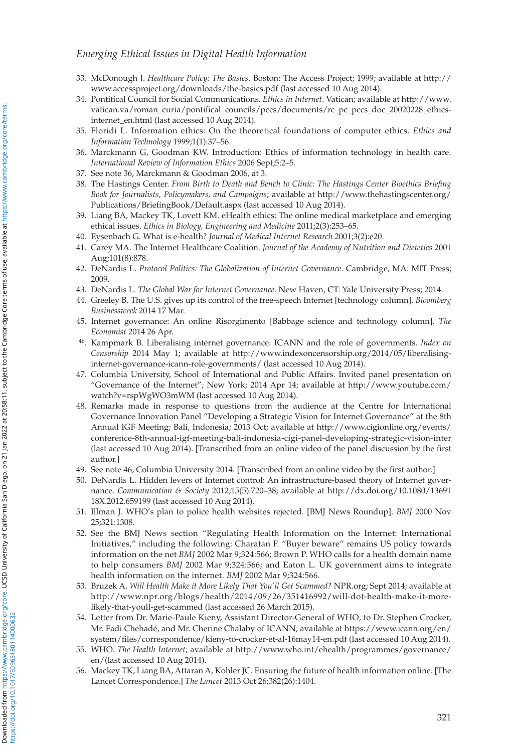## *Emerging Ethical Issues in Digital Health Information*

- 33. McDonough J. *Healthcare Policy: The Basics* . Boston: The Access Project; 1999; available at http:// www.accessproject.org/downloads/the-basics.pdf (last accessed 10 Aug 2014).
- 34. Pontifical Council for Social Communications. *Ethics in Internet*. Vatican; available at http://www. vatican.va/roman\_curia/pontifical\_councils/pccs/documents/rc\_pc\_pccs\_doc\_20020228\_ethicsinternet\_en.html (last accessed 10 Aug 2014).
- 35. Floridi L . Information ethics: On the theoretical foundations of computer ethics . *Ethics and Information Technology* 1999;1(1):37-56.
- 36. Marckmann G, Goodman KW. Introduction: Ethics of information technology in health care. *International Review of Information Ethics* 2006 Sept; 5: 2-5.
- 37. See note 36, Marckmann & Goodman 2006, at 3.
- 38. The Hastings Center. From Birth to Death and Bench to Clinic: The Hastings Center Bioethics Briefing *Book for Journalists, Policymakers, and Campaigns* ; available at http://www.thehastingscenter.org/ Publications/BriefingBook/Default.aspx (last accessed 10 Aug 2014).
- 39. Liang BA , Mackey TK , Lovett KM . eHealth ethics: The online medical marketplace and emerging ethical issues. *Ethics in Biology, Engineering and Medicine* 2011;2(3):253-65.
- 40. Eysenbach G. What is e-health? *Journal of Medical Internet Research* 2001;3(2):e20.
- 41. Carey MA . The Internet Healthcare Coalition . *Journal of the Academy of Nutrition and Dietetics* 2001 Aug; 101(8): 878.
- 42. DeNardis L. Protocol Politics: The Globalization of Internet Governance. Cambridge, MA: MIT Press; 2009
- 43. DeNardis L. The Global War for Internet Governance. New Haven, CT: Yale University Press; 2014.
- 44. Greeley B. The U.S. gives up its control of the free-speech Internet [technology column]. *Bloomberg Businessweek* 2014 17 Mar.
- 45. Internet governance: An online Risorgimento [Babbage science and technology column]. *The Economist* 2014 26 Apr.
- 46 . Kampmark B. Liberalising internet governance: ICANN and the role of governments. *Index on Censorship* 2014 May 1; available at http://www.indexoncensorship.org/2014/05/liberalisinginternet-governance-icann-role-governments/ (last accessed 10 Aug 2014).
- 47. Columbia University, School of International and Public Affairs. Invited panel presentation on "Governance of the Internet"; New York; 2014 Apr 14; available at http://www.youtube.com/ watch?v=rspWgWO3mWM (last accessed 10 Aug 2014).
- 48. Remarks made in response to questions from the audience at the Centre for International Governance Innovation Panel "Developing a Strategic Vision for Internet Governance" at the 8th Annual IGF Meeting; Bali, Indonesia; 2013 Oct; available at http://www.cigionline.org/events/ conference-8th-annual-igf-meeting-bali-indonesia-cigi-panel-developing-strategic-vision-inter (last accessed 10 Aug 2014). [Transcribed from an online video of the panel discussion by the first author.]
- 49. See note 46, Columbia University 2014. [Transcribed from an online video by the first author.]
- 50. DeNardis L . Hidden levers of Internet control: An infrastructure-based theory of Internet governance. *Communication & Society* 2012;15(5):720-38; available at http://dx.doi.org/10.1080/13691 18X.2012.659199 (last accessed 10 Aug 2014).
- 51. Illman J . WHO's plan to police health websites rejected. [BMJ News Roundup] . *BMJ* 2000 Nov 25;321:1308.
- 52. See the BMJ News section "Regulating Health Information on the Internet: International Initiatives," including the following: Charatan F. "Buyer beware" remains US policy towards information on the net *BMJ* 2002 Mar 9;324:566; Brown P. WHO calls for a health domain name to help consumers *BMJ* 2002 Mar 9;324:566; and Eaton L. UK government aims to integrate health information on the internet. *BMJ* 2002 Mar 9;324:566.
- 53. Bruzek A. *Will Health Make it More Likely That You'll Get Scammed?* NPR.org; Sept 2014; available at http://www.npr.org/blogs/health/2014/09/26/351416992/will-dot-health-make-it-morelikely-that-youll-get-scammed (last accessed 26 March 2015).
- 54. Letter from Dr. Marie-Paule Kieny, Assistant Director-General of WHO, to Dr. Stephen Crocker, Mr. Fadi Chehadé, and Mr. Cherine Chalaby of ICANN; available at https://www.icann.org/en/ system/files/correspondence/kieny-to-crocker-et-al-16may14-en.pdf (last accessed 10 Aug 2014).
- 55. WHO. *The Health Internet* ; available at http://www.who.int/ehealth/programmes/governance/ en/ (last accessed 10 Aug 2014).
- 56. Mackey TK , Liang BA , Attaran A , Kohler JC . Ensuring the future of health information online. [The Lancet Correspondence.] *The Lancet* 2013 Oct 26;382(26):1404.